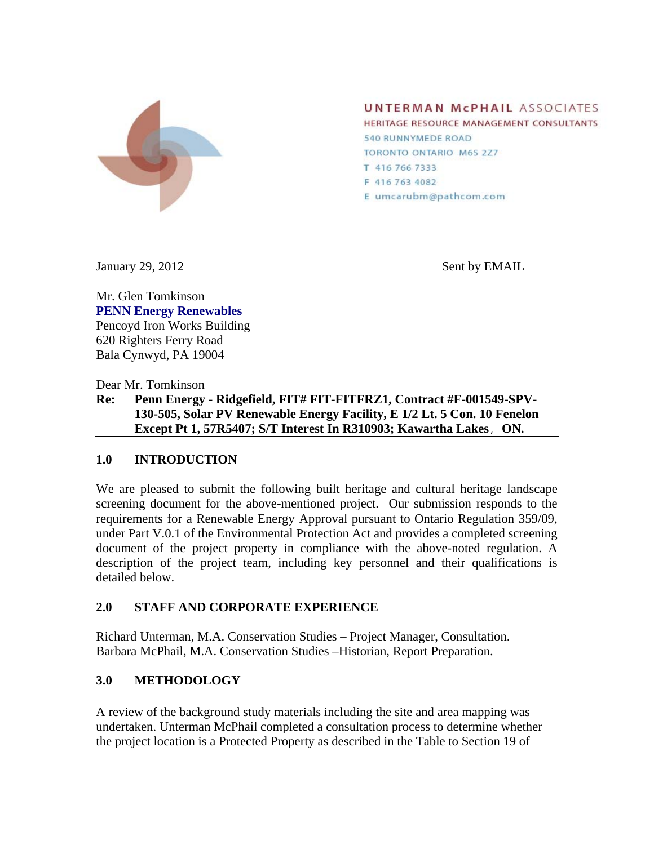

**UNTERMAN MCPHAIL ASSOCIATES** 

HERITAGE RESOURCE MANAGEMENT CONSULTANTS **540 RUNNYMEDE ROAD** TORONTO ONTARIO M6S 2Z7 T 416 766 7333 F 416 763 4082 E umcarubm@pathcom.com

January 29, 2012 Sent by EMAIL

Mr. Glen Tomkinson **PENN Energy Renewables** Pencoyd Iron Works Building 620 Righters Ferry Road Bala Cynwyd, PA 19004

Dear Mr. Tomkinson

**Re: Penn Energy - Ridgefield, FIT# FIT-FITFRZ1, Contract #F-001549-SPV-130-505, Solar PV Renewable Energy Facility, E 1/2 Lt. 5 Con. 10 Fenelon Except Pt 1, 57R5407; S/T Interest In R310903; Kawartha Lakes**, **ON.**

### **1.0 INTRODUCTION**

We are pleased to submit the following built heritage and cultural heritage landscape screening document for the above-mentioned project. Our submission responds to the requirements for a Renewable Energy Approval pursuant to Ontario Regulation 359/09, under Part V.0.1 of the Environmental Protection Act and provides a completed screening document of the project property in compliance with the above-noted regulation. A description of the project team, including key personnel and their qualifications is detailed below.

# **2.0 STAFF AND CORPORATE EXPERIENCE**

Richard Unterman, M.A. Conservation Studies – Project Manager, Consultation. Barbara McPhail, M.A. Conservation Studies –Historian, Report Preparation.

# **3.0 METHODOLOGY**

A review of the background study materials including the site and area mapping was undertaken. Unterman McPhail completed a consultation process to determine whether the project location is a Protected Property as described in the Table to Section 19 of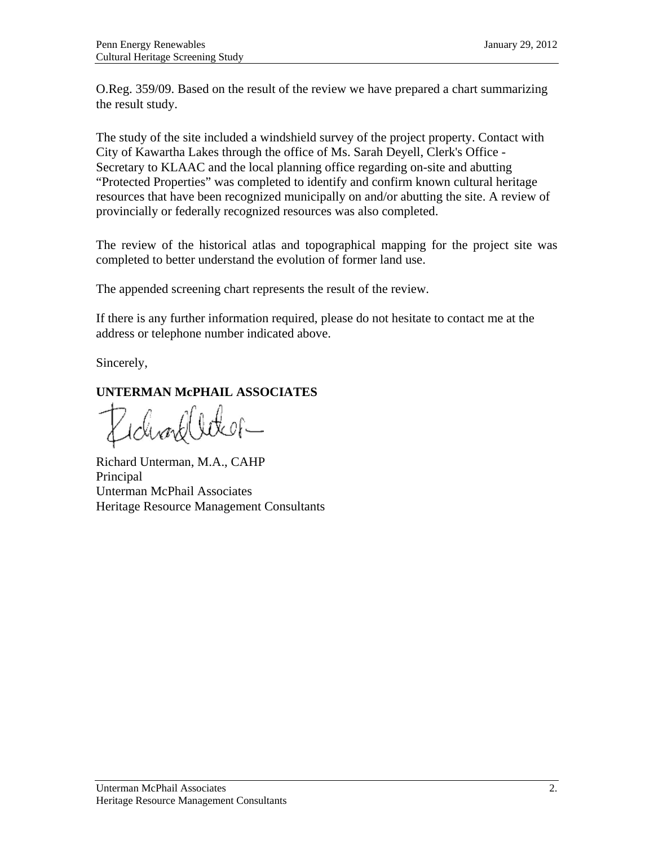O.Reg. 359/09. Based on the result of the review we have prepared a chart summarizing the result study.

The study of the site included a windshield survey of the project property. Contact with City of Kawartha Lakes through the office of Ms. Sarah Deyell, Clerk's Office - Secretary to KLAAC and the local planning office regarding on-site and abutting "Protected Properties" was completed to identify and confirm known cultural heritage resources that have been recognized municipally on and/or abutting the site. A review of provincially or federally recognized resources was also completed.

The review of the historical atlas and topographical mapping for the project site was completed to better understand the evolution of former land use.

The appended screening chart represents the result of the review.

If there is any further information required, please do not hesitate to contact me at the address or telephone number indicated above.

Sincerely,

# **UNTERMAN McPHAIL ASSOCIATES**

ichworld le tk of —

Richard Unterman, M.A., CAHP Principal Unterman McPhail Associates Heritage Resource Management Consultants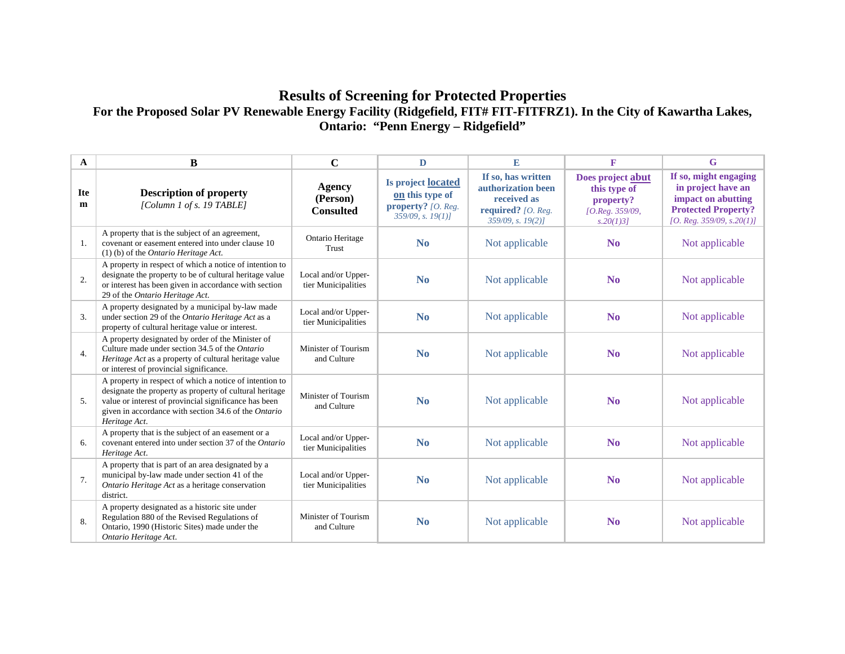# **Results of Screening for Protected Properties**  For the Proposed Solar PV Renewable Energy Facility (Ridgefield, FIT# FIT-FITFRZ1). In the City of Kawartha Lakes, **Ontario: "Penn Energy – Ridgefield"**

| A               | $\bf{B}$                                                                                                                                                                                                                                             | $\mathbf C$                                | $\mathbf{D}$                                                                           | E                                                                                                          | $\mathbf{F}$                                                                  | G                                                                                                                            |
|-----------------|------------------------------------------------------------------------------------------------------------------------------------------------------------------------------------------------------------------------------------------------------|--------------------------------------------|----------------------------------------------------------------------------------------|------------------------------------------------------------------------------------------------------------|-------------------------------------------------------------------------------|------------------------------------------------------------------------------------------------------------------------------|
| <b>Ite</b><br>m | <b>Description of property</b><br>[Column 1 of s. 19 TABLE]                                                                                                                                                                                          | Agency<br>(Person)<br><b>Consulted</b>     | Is project located<br>on this type of<br>property? [O. Reg.<br>$359/09$ , s. $19(1)$ ] | If so, has written<br>authorization been<br>received as<br>required? $[O.$ Reg.<br>$359/09$ , s. $19(2)$ ] | Does project abut<br>this type of<br>property?<br>[O.Reg. 359/09,<br>s.20(1)3 | If so, might engaging<br>in project have an<br>impact on abutting<br><b>Protected Property?</b><br>[O. Reg. 359/09, s.20(1)] |
| 1.              | A property that is the subject of an agreement,<br>covenant or easement entered into under clause 10<br>$(1)$ (b) of the <i>Ontario Heritage Act</i> .                                                                                               | Ontario Heritage<br>Trust                  | N <sub>0</sub>                                                                         | Not applicable                                                                                             | N <sub>0</sub>                                                                | Not applicable                                                                                                               |
| 2.              | A property in respect of which a notice of intention to<br>designate the property to be of cultural heritage value<br>or interest has been given in accordance with section<br>29 of the Ontario Heritage Act.                                       | Local and/or Upper-<br>tier Municipalities | N <sub>0</sub>                                                                         | Not applicable                                                                                             | N <sub>o</sub>                                                                | Not applicable                                                                                                               |
| 3.              | A property designated by a municipal by-law made<br>under section 29 of the Ontario Heritage Act as a<br>property of cultural heritage value or interest.                                                                                            | Local and/or Upper-<br>tier Municipalities | N <sub>0</sub>                                                                         | Not applicable                                                                                             | N <sub>0</sub>                                                                | Not applicable                                                                                                               |
| 4.              | A property designated by order of the Minister of<br>Culture made under section 34.5 of the Ontario<br>Heritage Act as a property of cultural heritage value<br>or interest of provincial significance.                                              | Minister of Tourism<br>and Culture         | N <sub>0</sub>                                                                         | Not applicable                                                                                             | N <sub>0</sub>                                                                | Not applicable                                                                                                               |
| 5.              | A property in respect of which a notice of intention to<br>designate the property as property of cultural heritage<br>value or interest of provincial significance has been<br>given in accordance with section 34.6 of the Ontario<br>Heritage Act. | Minister of Tourism<br>and Culture         | N <sub>0</sub>                                                                         | Not applicable                                                                                             | N <sub>0</sub>                                                                | Not applicable                                                                                                               |
| 6.              | A property that is the subject of an easement or a<br>covenant entered into under section 37 of the Ontario<br>Heritage Act.                                                                                                                         | Local and/or Upper-<br>tier Municipalities | $\mathbf{N}\mathbf{0}$                                                                 | Not applicable                                                                                             | N <sub>0</sub>                                                                | Not applicable                                                                                                               |
| 7.              | A property that is part of an area designated by a<br>municipal by-law made under section 41 of the<br>Ontario Heritage Act as a heritage conservation<br>district.                                                                                  | Local and/or Upper-<br>tier Municipalities | N <sub>o</sub>                                                                         | Not applicable                                                                                             | N <sub>o</sub>                                                                | Not applicable                                                                                                               |
| 8.              | A property designated as a historic site under<br>Regulation 880 of the Revised Regulations of<br>Ontario, 1990 (Historic Sites) made under the<br>Ontario Heritage Act.                                                                             | Minister of Tourism<br>and Culture         | N <sub>0</sub>                                                                         | Not applicable                                                                                             | N <sub>0</sub>                                                                | Not applicable                                                                                                               |